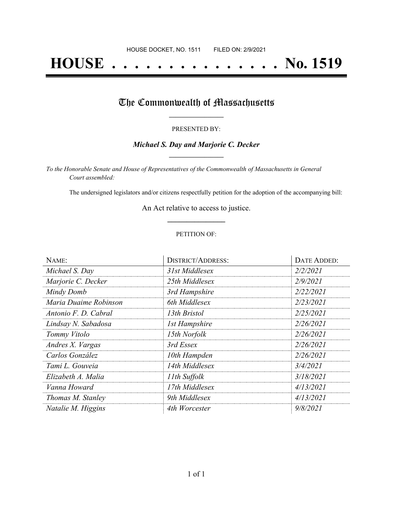# **HOUSE . . . . . . . . . . . . . . . No. 1519**

## The Commonwealth of Massachusetts

#### PRESENTED BY:

#### *Michael S. Day and Marjorie C. Decker* **\_\_\_\_\_\_\_\_\_\_\_\_\_\_\_\_\_**

*To the Honorable Senate and House of Representatives of the Commonwealth of Massachusetts in General Court assembled:*

The undersigned legislators and/or citizens respectfully petition for the adoption of the accompanying bill:

An Act relative to access to justice. **\_\_\_\_\_\_\_\_\_\_\_\_\_\_\_**

#### PETITION OF:

| NAME:                 | <b>DISTRICT/ADDRESS:</b> | DATE ADDED: |
|-----------------------|--------------------------|-------------|
| Michael S. Day        | 31st Middlesex           | 2/2/2021    |
| Marjorie C. Decker    | 25th Middlesex           | 2/9/2021    |
| Mindy Domb            | 3rd Hampshire            | 2/22/2021   |
| Maria Duaime Robinson | 6th Middlesex            | 2/23/2021   |
| Antonio F. D. Cabral  | 13th Bristol             | 2/25/2021   |
| Lindsay N. Sabadosa   | 1st Hampshire            | 2/26/2021   |
| Tommy Vitolo          | 15th Norfolk             | 2/26/2021   |
| Andres X. Vargas      | 3rd Essex                | 2/26/2021   |
| Carlos González       | 10th Hampden             | 2/26/2021   |
| Tami L. Gouveia       | 14th Middlesex           | 3/4/2021    |
| Elizabeth A. Malia    | 11th Suffolk             | 3/18/2021   |
| Vanna Howard          | 17th Middlesex           | 4/13/2021   |
| Thomas M. Stanley     | 9th Middlesex            | 4/13/2021   |
| Natalie M. Higgins    | 4th Worcester            | 9/8/2021    |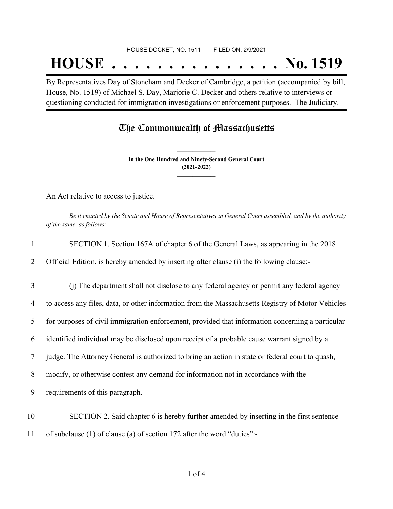#### HOUSE DOCKET, NO. 1511 FILED ON: 2/9/2021

## **HOUSE . . . . . . . . . . . . . . . No. 1519**

By Representatives Day of Stoneham and Decker of Cambridge, a petition (accompanied by bill, House, No. 1519) of Michael S. Day, Marjorie C. Decker and others relative to interviews or questioning conducted for immigration investigations or enforcement purposes. The Judiciary.

### The Commonwealth of Massachusetts

**In the One Hundred and Ninety-Second General Court (2021-2022) \_\_\_\_\_\_\_\_\_\_\_\_\_\_\_**

**\_\_\_\_\_\_\_\_\_\_\_\_\_\_\_**

An Act relative to access to justice.

Be it enacted by the Senate and House of Representatives in General Court assembled, and by the authority *of the same, as follows:*

| $\mathbf{1}$   | SECTION 1. Section 167A of chapter 6 of the General Laws, as appearing in the 2018                |
|----------------|---------------------------------------------------------------------------------------------------|
| 2              | Official Edition, is hereby amended by inserting after clause (i) the following clause:-          |
| 3              | (i) The department shall not disclose to any federal agency or permit any federal agency          |
| $\overline{4}$ | to access any files, data, or other information from the Massachusetts Registry of Motor Vehicles |
| 5              | for purposes of civil immigration enforcement, provided that information concerning a particular  |
| 6              | identified individual may be disclosed upon receipt of a probable cause warrant signed by a       |
| 7              | judge. The Attorney General is authorized to bring an action in state or federal court to quash,  |
| 8              | modify, or otherwise contest any demand for information not in accordance with the                |
| 9              | requirements of this paragraph.                                                                   |
| 10             | SECTION 2. Said chapter 6 is hereby further amended by inserting in the first sentence            |
| 11             | of subclause (1) of clause (a) of section 172 after the word "duties":-                           |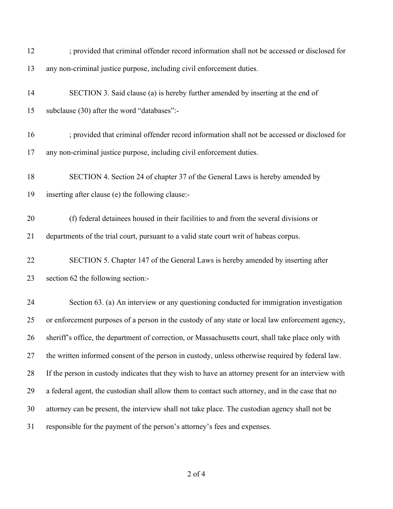| 12 | ; provided that criminal offender record information shall not be accessed or disclosed for         |
|----|-----------------------------------------------------------------------------------------------------|
| 13 | any non-criminal justice purpose, including civil enforcement duties.                               |
| 14 | SECTION 3. Said clause (a) is hereby further amended by inserting at the end of                     |
| 15 | subclause (30) after the word "databases":-                                                         |
| 16 | ; provided that criminal offender record information shall not be accessed or disclosed for         |
| 17 | any non-criminal justice purpose, including civil enforcement duties.                               |
| 18 | SECTION 4. Section 24 of chapter 37 of the General Laws is hereby amended by                        |
| 19 | inserting after clause (e) the following clause:-                                                   |
| 20 | (f) federal detainees housed in their facilities to and from the several divisions or               |
| 21 | departments of the trial court, pursuant to a valid state court writ of habeas corpus.              |
| 22 | SECTION 5. Chapter 147 of the General Laws is hereby amended by inserting after                     |
| 23 | section 62 the following section:-                                                                  |
| 24 | Section 63. (a) An interview or any questioning conducted for immigration investigation             |
| 25 | or enforcement purposes of a person in the custody of any state or local law enforcement agency,    |
| 26 | sheriff's office, the department of correction, or Massachusetts court, shall take place only with  |
| 27 | the written informed consent of the person in custody, unless otherwise required by federal law.    |
| 28 | If the person in custody indicates that they wish to have an attorney present for an interview with |
| 29 | a federal agent, the custodian shall allow them to contact such attorney, and in the case that no   |
| 30 | attorney can be present, the interview shall not take place. The custodian agency shall not be      |
| 31 | responsible for the payment of the person's attorney's fees and expenses.                           |

of 4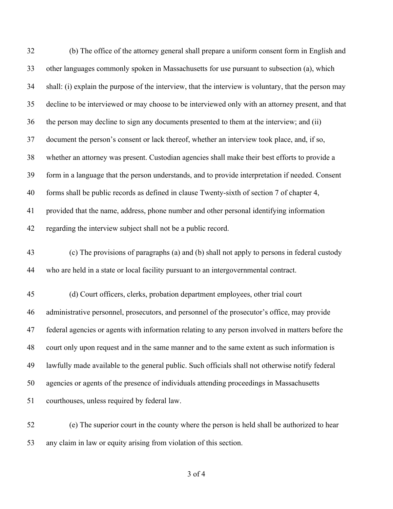| 32 | (b) The office of the attorney general shall prepare a uniform consent form in English and            |
|----|-------------------------------------------------------------------------------------------------------|
| 33 | other languages commonly spoken in Massachusetts for use pursuant to subsection (a), which            |
| 34 | shall: (i) explain the purpose of the interview, that the interview is voluntary, that the person may |
| 35 | decline to be interviewed or may choose to be interviewed only with an attorney present, and that     |
| 36 | the person may decline to sign any documents presented to them at the interview; and (ii)             |
| 37 | document the person's consent or lack thereof, whether an interview took place, and, if so,           |
| 38 | whether an attorney was present. Custodian agencies shall make their best efforts to provide a        |
| 39 | form in a language that the person understands, and to provide interpretation if needed. Consent      |
| 40 | forms shall be public records as defined in clause Twenty-sixth of section 7 of chapter 4,            |
| 41 | provided that the name, address, phone number and other personal identifying information              |
| 42 | regarding the interview subject shall not be a public record.                                         |
| 43 | (c) The provisions of paragraphs (a) and (b) shall not apply to persons in federal custody            |
| 44 | who are held in a state or local facility pursuant to an intergovernmental contract.                  |
| 45 | (d) Court officers, clerks, probation department employees, other trial court                         |
| 46 | administrative personnel, prosecutors, and personnel of the prosecutor's office, may provide          |
| 47 | federal agencies or agents with information relating to any person involved in matters before the     |
| 48 | court only upon request and in the same manner and to the same extent as such information is          |
| 49 | lawfully made available to the general public. Such officials shall not otherwise notify federal      |
| 50 | agencies or agents of the presence of individuals attending proceedings in Massachusetts              |
| 51 | courthouses, unless required by federal law.                                                          |
|    |                                                                                                       |

 (e) The superior court in the county where the person is held shall be authorized to hear any claim in law or equity arising from violation of this section.

of 4